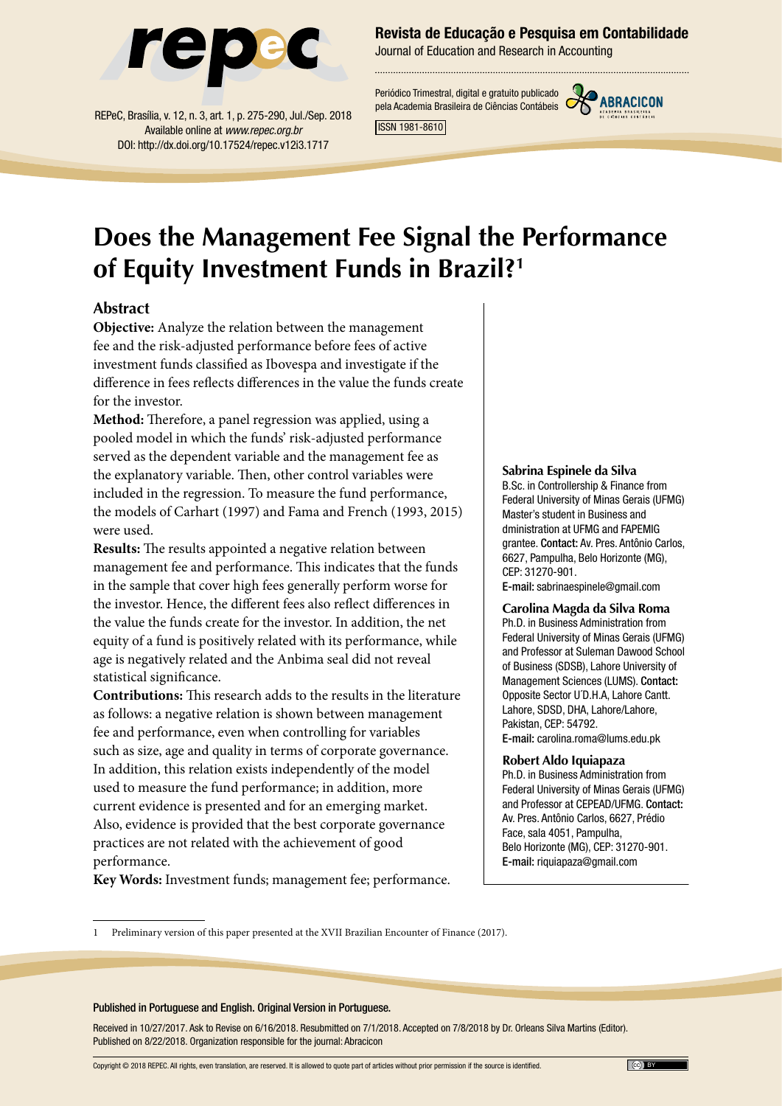

REPeC, Brasília, v. 12, n. 3, art. 1, p. 275-290, Jul./Sep. 2018 Available online at *www.repec.org.br* DOI: http://dx.doi.org/10.17524/repec.v12i3.1717

#### Revista de Educação e Pesquisa em Contabilidade

Journal of Education and Research in Accounting

Periódico Trimestral, digital e gratuito publicado pela Academia Brasileira de Ciências Contábeis



ISSN 1981-8610

# **Does the Management Fee Signal the Performance of Equity Investment Funds in Brazil?1**

### **Abstract**

**Objective:** Analyze the relation between the management fee and the risk-adjusted performance before fees of active investment funds classified as Ibovespa and investigate if the difference in fees reflects differences in the value the funds create for the investor.

**Method:** Therefore, a panel regression was applied, using a pooled model in which the funds' risk-adjusted performance served as the dependent variable and the management fee as the explanatory variable. Then, other control variables were included in the regression. To measure the fund performance, the models of Carhart (1997) and Fama and French (1993, 2015) were used.

**Results:** The results appointed a negative relation between management fee and performance. This indicates that the funds in the sample that cover high fees generally perform worse for the investor. Hence, the different fees also reflect differences in the value the funds create for the investor. In addition, the net equity of a fund is positively related with its performance, while age is negatively related and the Anbima seal did not reveal statistical significance.

**Contributions:** This research adds to the results in the literature as follows: a negative relation is shown between management fee and performance, even when controlling for variables such as size, age and quality in terms of corporate governance. In addition, this relation exists independently of the model used to measure the fund performance; in addition, more current evidence is presented and for an emerging market. Also, evidence is provided that the best corporate governance practices are not related with the achievement of good performance.

#### **Sabrina Espinele da Silva**

B.Sc. in Controllership & Finance from Federal University of Minas Gerais (UFMG) Master's student in Business and dministration at UFMG and FAPEMIG grantee. Contact: Av. Pres. Antônio Carlos, 6627, Pampulha, Belo Horizonte (MG), CEP: 31270-901. E-mail: sabrinaespinele@gmail.com

#### **Carolina Magda da Silva Roma**

Ph.D. in Business Administration from Federal University of Minas Gerais (UFMG) and Professor at Suleman Dawood School of Business (SDSB), Lahore University of Management Sciences (LUMS). Contact: Opposite Sector U´D.H.A, Lahore Cantt. Lahore, SDSD, DHA, Lahore/Lahore, Pakistan, CEP: 54792. E-mail: carolina.roma@lums.edu.pk

#### **Robert Aldo Iquiapaza**

Ph.D. in Business Administration from Federal University of Minas Gerais (UFMG) and Professor at CEPEAD/UFMG. Contact: Av. Pres. Antônio Carlos, 6627, Prédio Face, sala 4051, Pampulha, Belo Horizonte (MG), CEP: 31270-901. E-mail: riquiapaza@gmail.com

**Key Words:** Investment funds; management fee; performance.

#### 1 Preliminary version of this paper presented at the XVII Brazilian Encounter of Finance (2017).

#### Published in Portuguese and English. Original Version in Portuguese.

Received in 10/27/2017. Ask to Revise on 6/16/2018. Resubmitted on 7/1/2018. Accepted on 7/8/2018 by Dr. Orleans Silva Martins (Editor). Published on 8/22/2018. Organization responsible for the journal: Abracicon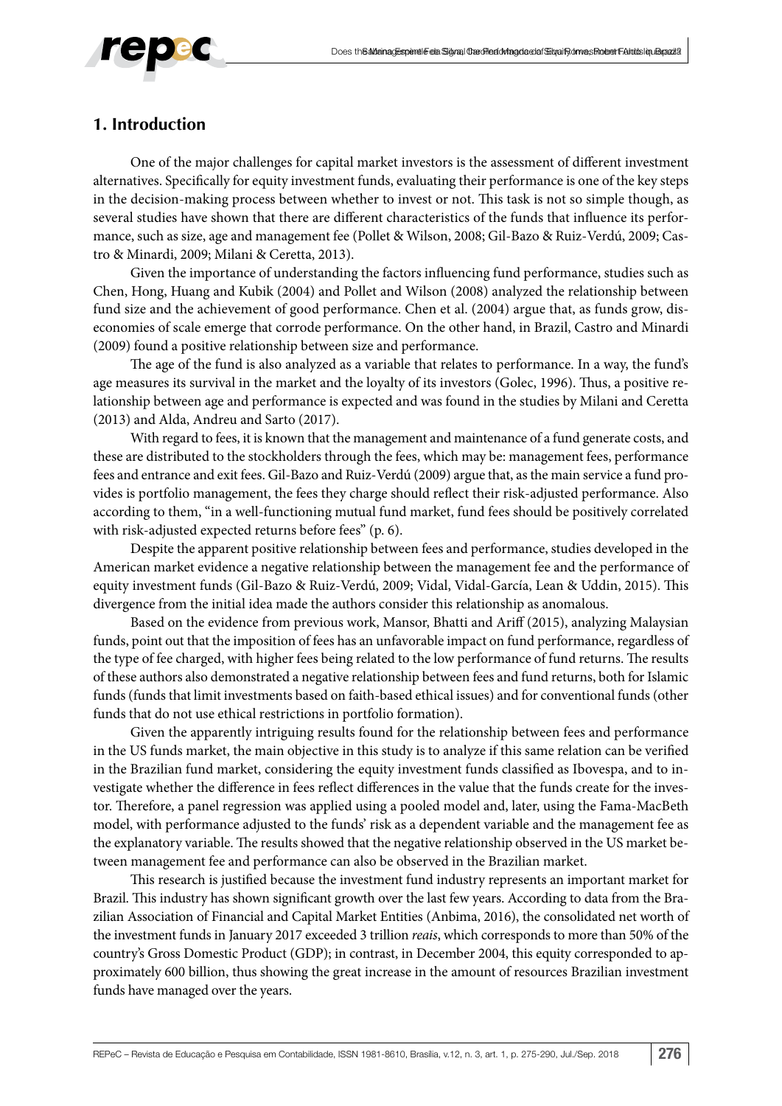

# **1. Introduction**

One of the major challenges for capital market investors is the assessment of different investment alternatives. Specifically for equity investment funds, evaluating their performance is one of the key steps in the decision-making process between whether to invest or not. This task is not so simple though, as several studies have shown that there are different characteristics of the funds that influence its performance, such as size, age and management fee (Pollet & Wilson, 2008; Gil-Bazo & Ruiz-Verdú, 2009; Castro & Minardi, 2009; Milani & Ceretta, 2013).

Given the importance of understanding the factors influencing fund performance, studies such as Chen, Hong, Huang and Kubik (2004) and Pollet and Wilson (2008) analyzed the relationship between fund size and the achievement of good performance. Chen et al. (2004) argue that, as funds grow, diseconomies of scale emerge that corrode performance. On the other hand, in Brazil, Castro and Minardi (2009) found a positive relationship between size and performance.

The age of the fund is also analyzed as a variable that relates to performance. In a way, the fund's age measures its survival in the market and the loyalty of its investors (Golec, 1996). Thus, a positive relationship between age and performance is expected and was found in the studies by Milani and Ceretta (2013) and Alda, Andreu and Sarto (2017).

With regard to fees, it is known that the management and maintenance of a fund generate costs, and these are distributed to the stockholders through the fees, which may be: management fees, performance fees and entrance and exit fees. Gil-Bazo and Ruiz-Verdú (2009) argue that, as the main service a fund provides is portfolio management, the fees they charge should reflect their risk-adjusted performance. Also according to them, "in a well-functioning mutual fund market, fund fees should be positively correlated with risk-adjusted expected returns before fees" (p. 6).

Despite the apparent positive relationship between fees and performance, studies developed in the American market evidence a negative relationship between the management fee and the performance of equity investment funds (Gil-Bazo & Ruiz-Verdú, 2009; Vidal, Vidal-García, Lean & Uddin, 2015). This divergence from the initial idea made the authors consider this relationship as anomalous.

Based on the evidence from previous work, Mansor, Bhatti and Ariff (2015), analyzing Malaysian funds, point out that the imposition of fees has an unfavorable impact on fund performance, regardless of the type of fee charged, with higher fees being related to the low performance of fund returns. The results of these authors also demonstrated a negative relationship between fees and fund returns, both for Islamic funds (funds that limit investments based on faith-based ethical issues) and for conventional funds (other funds that do not use ethical restrictions in portfolio formation).

Given the apparently intriguing results found for the relationship between fees and performance in the US funds market, the main objective in this study is to analyze if this same relation can be verified in the Brazilian fund market, considering the equity investment funds classified as Ibovespa, and to investigate whether the difference in fees reflect differences in the value that the funds create for the investor. Therefore, a panel regression was applied using a pooled model and, later, using the Fama-MacBeth model, with performance adjusted to the funds' risk as a dependent variable and the management fee as the explanatory variable. The results showed that the negative relationship observed in the US market between management fee and performance can also be observed in the Brazilian market.

This research is justified because the investment fund industry represents an important market for Brazil. This industry has shown significant growth over the last few years. According to data from the Brazilian Association of Financial and Capital Market Entities (Anbima, 2016), the consolidated net worth of the investment funds in January 2017 exceeded 3 trillion *reais*, which corresponds to more than 50% of the country's Gross Domestic Product (GDP); in contrast, in December 2004, this equity corresponded to approximately 600 billion, thus showing the great increase in the amount of resources Brazilian investment funds have managed over the years.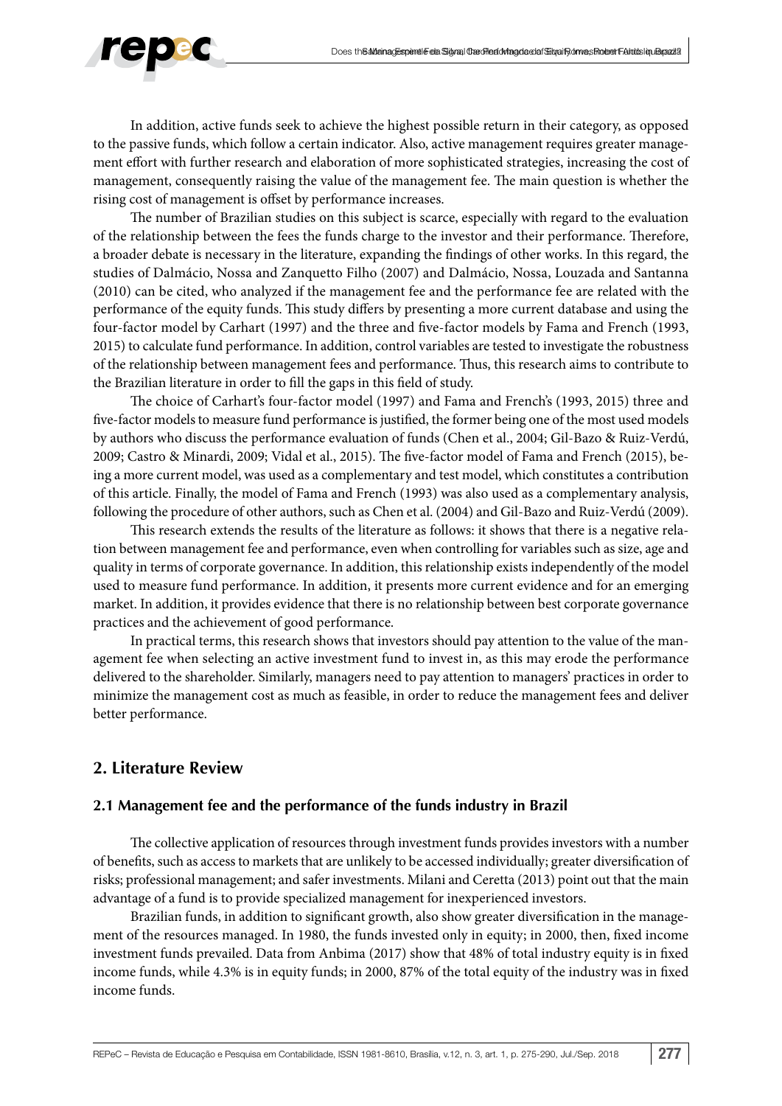

In addition, active funds seek to achieve the highest possible return in their category, as opposed to the passive funds, which follow a certain indicator. Also, active management requires greater management effort with further research and elaboration of more sophisticated strategies, increasing the cost of management, consequently raising the value of the management fee. The main question is whether the rising cost of management is offset by performance increases.

The number of Brazilian studies on this subject is scarce, especially with regard to the evaluation of the relationship between the fees the funds charge to the investor and their performance. Therefore, a broader debate is necessary in the literature, expanding the findings of other works. In this regard, the studies of Dalmácio, Nossa and Zanquetto Filho (2007) and Dalmácio, Nossa, Louzada and Santanna (2010) can be cited, who analyzed if the management fee and the performance fee are related with the performance of the equity funds. This study differs by presenting a more current database and using the four-factor model by Carhart (1997) and the three and five-factor models by Fama and French (1993, 2015) to calculate fund performance. In addition, control variables are tested to investigate the robustness of the relationship between management fees and performance. Thus, this research aims to contribute to the Brazilian literature in order to fill the gaps in this field of study.

The choice of Carhart's four-factor model (1997) and Fama and French's (1993, 2015) three and five-factor models to measure fund performance is justified, the former being one of the most used models by authors who discuss the performance evaluation of funds (Chen et al., 2004; Gil-Bazo & Ruiz-Verdú, 2009; Castro & Minardi, 2009; Vidal et al., 2015). The five-factor model of Fama and French (2015), being a more current model, was used as a complementary and test model, which constitutes a contribution of this article. Finally, the model of Fama and French (1993) was also used as a complementary analysis, following the procedure of other authors, such as Chen et al. (2004) and Gil-Bazo and Ruiz-Verdú (2009).

This research extends the results of the literature as follows: it shows that there is a negative relation between management fee and performance, even when controlling for variables such as size, age and quality in terms of corporate governance. In addition, this relationship exists independently of the model used to measure fund performance. In addition, it presents more current evidence and for an emerging market. In addition, it provides evidence that there is no relationship between best corporate governance practices and the achievement of good performance.

In practical terms, this research shows that investors should pay attention to the value of the management fee when selecting an active investment fund to invest in, as this may erode the performance delivered to the shareholder. Similarly, managers need to pay attention to managers' practices in order to minimize the management cost as much as feasible, in order to reduce the management fees and deliver better performance.

# **2. Literature Review**

#### **2.1 Management fee and the performance of the funds industry in Brazil**

The collective application of resources through investment funds provides investors with a number of benefits, such as access to markets that are unlikely to be accessed individually; greater diversification of risks; professional management; and safer investments. Milani and Ceretta (2013) point out that the main advantage of a fund is to provide specialized management for inexperienced investors.

Brazilian funds, in addition to significant growth, also show greater diversification in the management of the resources managed. In 1980, the funds invested only in equity; in 2000, then, fixed income investment funds prevailed. Data from Anbima (2017) show that 48% of total industry equity is in fixed income funds, while 4.3% is in equity funds; in 2000, 87% of the total equity of the industry was in fixed income funds.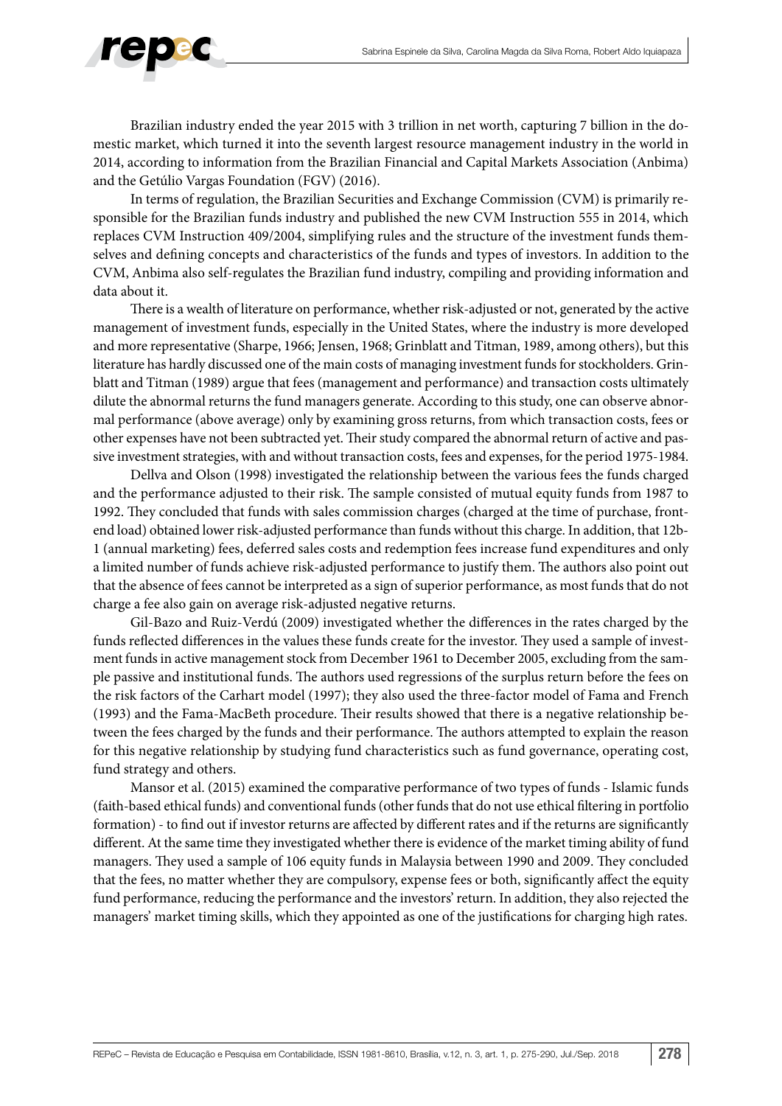Brazilian industry ended the year 2015 with 3 trillion in net worth, capturing 7 billion in the domestic market, which turned it into the seventh largest resource management industry in the world in 2014, according to information from the Brazilian Financial and Capital Markets Association (Anbima) and the Getúlio Vargas Foundation (FGV) (2016).

In terms of regulation, the Brazilian Securities and Exchange Commission (CVM) is primarily responsible for the Brazilian funds industry and published the new CVM Instruction 555 in 2014, which replaces CVM Instruction 409/2004, simplifying rules and the structure of the investment funds themselves and defining concepts and characteristics of the funds and types of investors. In addition to the CVM, Anbima also self-regulates the Brazilian fund industry, compiling and providing information and data about it.

There is a wealth of literature on performance, whether risk-adjusted or not, generated by the active management of investment funds, especially in the United States, where the industry is more developed and more representative (Sharpe, 1966; Jensen, 1968; Grinblatt and Titman, 1989, among others), but this literature has hardly discussed one of the main costs of managing investment funds for stockholders. Grinblatt and Titman (1989) argue that fees (management and performance) and transaction costs ultimately dilute the abnormal returns the fund managers generate. According to this study, one can observe abnormal performance (above average) only by examining gross returns, from which transaction costs, fees or other expenses have not been subtracted yet. Their study compared the abnormal return of active and passive investment strategies, with and without transaction costs, fees and expenses, for the period 1975-1984.

Dellva and Olson (1998) investigated the relationship between the various fees the funds charged and the performance adjusted to their risk. The sample consisted of mutual equity funds from 1987 to 1992. They concluded that funds with sales commission charges (charged at the time of purchase, frontend load) obtained lower risk-adjusted performance than funds without this charge. In addition, that 12b-1 (annual marketing) fees, deferred sales costs and redemption fees increase fund expenditures and only a limited number of funds achieve risk-adjusted performance to justify them. The authors also point out that the absence of fees cannot be interpreted as a sign of superior performance, as most funds that do not charge a fee also gain on average risk-adjusted negative returns.

Gil-Bazo and Ruiz-Verdú (2009) investigated whether the differences in the rates charged by the funds reflected differences in the values these funds create for the investor. They used a sample of investment funds in active management stock from December 1961 to December 2005, excluding from the sample passive and institutional funds. The authors used regressions of the surplus return before the fees on the risk factors of the Carhart model (1997); they also used the three-factor model of Fama and French (1993) and the Fama-MacBeth procedure. Their results showed that there is a negative relationship between the fees charged by the funds and their performance. The authors attempted to explain the reason for this negative relationship by studying fund characteristics such as fund governance, operating cost, fund strategy and others.

Mansor et al. (2015) examined the comparative performance of two types of funds - Islamic funds (faith-based ethical funds) and conventional funds (other funds that do not use ethical filtering in portfolio formation) - to find out if investor returns are affected by different rates and if the returns are significantly different. At the same time they investigated whether there is evidence of the market timing ability of fund managers. They used a sample of 106 equity funds in Malaysia between 1990 and 2009. They concluded that the fees, no matter whether they are compulsory, expense fees or both, significantly affect the equity fund performance, reducing the performance and the investors' return. In addition, they also rejected the managers' market timing skills, which they appointed as one of the justifications for charging high rates.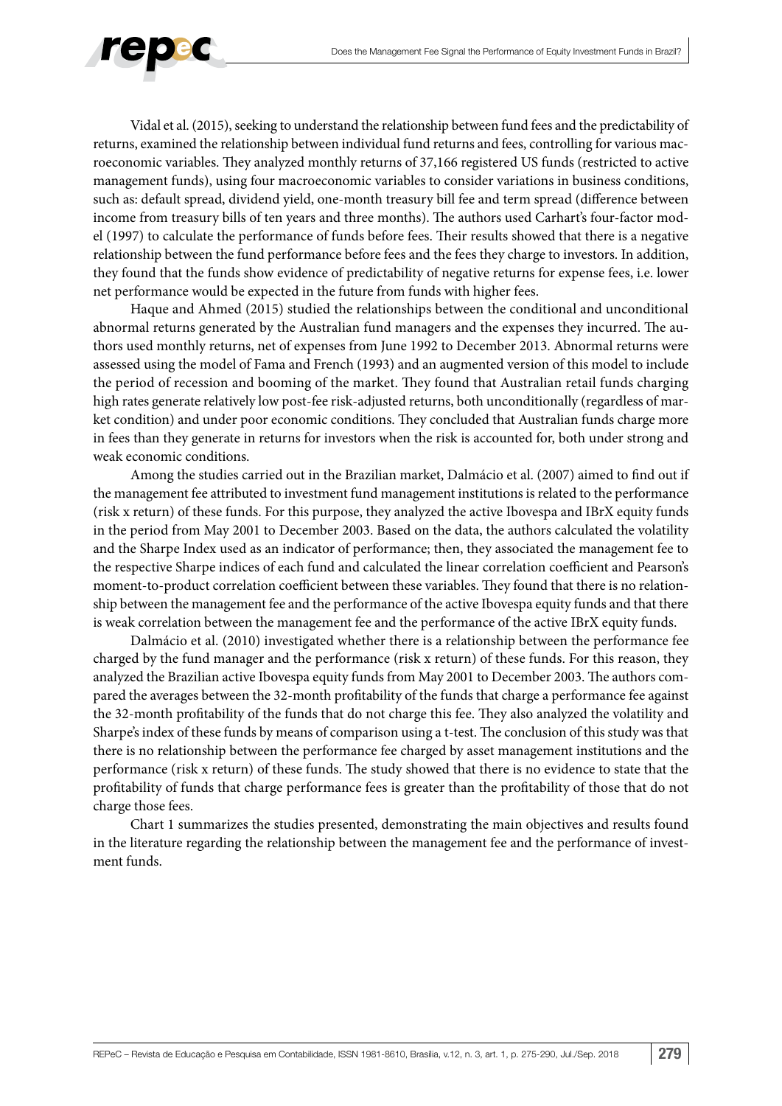

Vidal et al. (2015), seeking to understand the relationship between fund fees and the predictability of returns, examined the relationship between individual fund returns and fees, controlling for various macroeconomic variables. They analyzed monthly returns of 37,166 registered US funds (restricted to active management funds), using four macroeconomic variables to consider variations in business conditions, such as: default spread, dividend yield, one-month treasury bill fee and term spread (difference between income from treasury bills of ten years and three months). The authors used Carhart's four-factor model (1997) to calculate the performance of funds before fees. Their results showed that there is a negative relationship between the fund performance before fees and the fees they charge to investors. In addition, they found that the funds show evidence of predictability of negative returns for expense fees, i.e. lower net performance would be expected in the future from funds with higher fees.

Haque and Ahmed (2015) studied the relationships between the conditional and unconditional abnormal returns generated by the Australian fund managers and the expenses they incurred. The authors used monthly returns, net of expenses from June 1992 to December 2013. Abnormal returns were assessed using the model of Fama and French (1993) and an augmented version of this model to include the period of recession and booming of the market. They found that Australian retail funds charging high rates generate relatively low post-fee risk-adjusted returns, both unconditionally (regardless of market condition) and under poor economic conditions. They concluded that Australian funds charge more in fees than they generate in returns for investors when the risk is accounted for, both under strong and weak economic conditions.

Among the studies carried out in the Brazilian market, Dalmácio et al. (2007) aimed to find out if the management fee attributed to investment fund management institutions is related to the performance (risk x return) of these funds. For this purpose, they analyzed the active Ibovespa and IBrX equity funds in the period from May 2001 to December 2003. Based on the data, the authors calculated the volatility and the Sharpe Index used as an indicator of performance; then, they associated the management fee to the respective Sharpe indices of each fund and calculated the linear correlation coefficient and Pearson's moment-to-product correlation coefficient between these variables. They found that there is no relationship between the management fee and the performance of the active Ibovespa equity funds and that there is weak correlation between the management fee and the performance of the active IBrX equity funds.

Dalmácio et al. (2010) investigated whether there is a relationship between the performance fee charged by the fund manager and the performance (risk x return) of these funds. For this reason, they analyzed the Brazilian active Ibovespa equity funds from May 2001 to December 2003. The authors compared the averages between the 32-month profitability of the funds that charge a performance fee against the 32-month profitability of the funds that do not charge this fee. They also analyzed the volatility and Sharpe's index of these funds by means of comparison using a t-test. The conclusion of this study was that there is no relationship between the performance fee charged by asset management institutions and the performance (risk x return) of these funds. The study showed that there is no evidence to state that the profitability of funds that charge performance fees is greater than the profitability of those that do not charge those fees.

Chart 1 summarizes the studies presented, demonstrating the main objectives and results found in the literature regarding the relationship between the management fee and the performance of investment funds.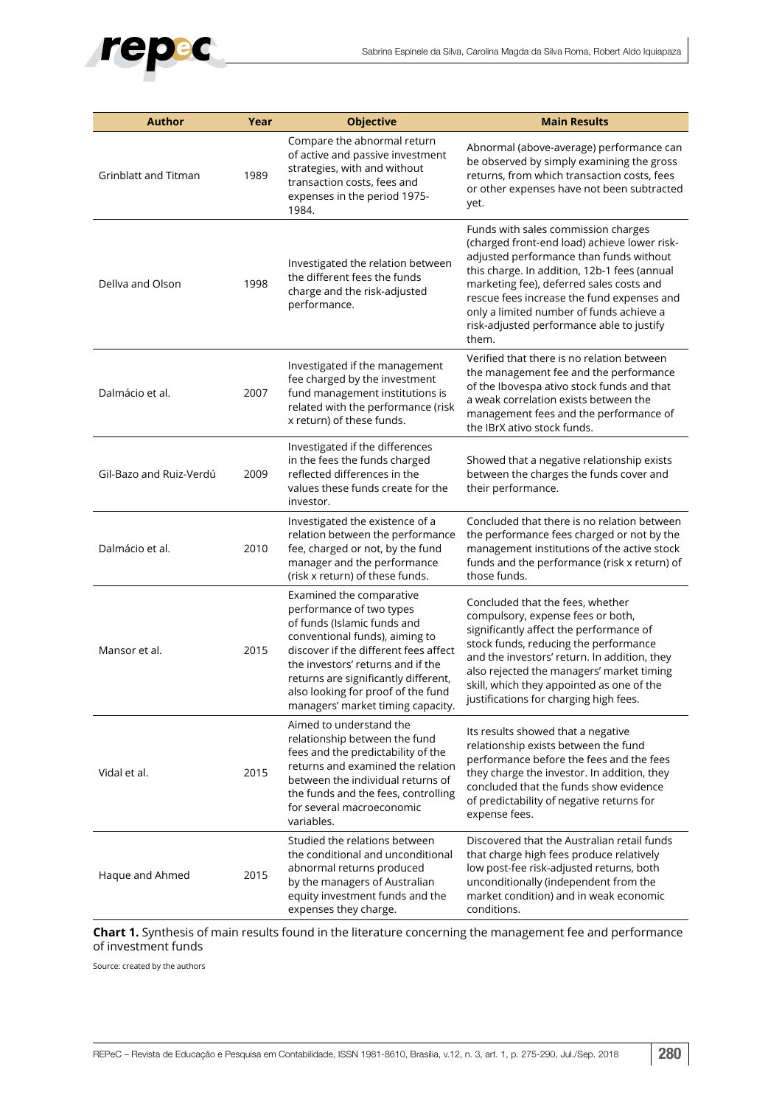

| <b>Author</b>           | Year | <b>Objective</b>                                                                                                                                                                                                                                                                                                       | <b>Main Results</b>                                                                                                                                                                                                                                                                                                                                                        |
|-------------------------|------|------------------------------------------------------------------------------------------------------------------------------------------------------------------------------------------------------------------------------------------------------------------------------------------------------------------------|----------------------------------------------------------------------------------------------------------------------------------------------------------------------------------------------------------------------------------------------------------------------------------------------------------------------------------------------------------------------------|
| Grinblatt and Titman    | 1989 | Compare the abnormal return<br>of active and passive investment<br>strategies, with and without<br>transaction costs, fees and<br>expenses in the period 1975-<br>1984.                                                                                                                                                | Abnormal (above-average) performance can<br>be observed by simply examining the gross<br>returns, from which transaction costs, fees<br>or other expenses have not been subtracted<br>yet.                                                                                                                                                                                 |
| Dellya and Olson        | 1998 | Investigated the relation between<br>the different fees the funds<br>charge and the risk-adjusted<br>performance.                                                                                                                                                                                                      | Funds with sales commission charges<br>(charged front-end load) achieve lower risk-<br>adjusted performance than funds without<br>this charge. In addition, 12b-1 fees (annual<br>marketing fee), deferred sales costs and<br>rescue fees increase the fund expenses and<br>only a limited number of funds achieve a<br>risk-adjusted performance able to justify<br>them. |
| Dalmácio et al.         | 2007 | Investigated if the management<br>fee charged by the investment<br>fund management institutions is<br>related with the performance (risk<br>x return) of these funds.                                                                                                                                                  | Verified that there is no relation between<br>the management fee and the performance<br>of the Ibovespa ativo stock funds and that<br>a weak correlation exists between the<br>management fees and the performance of<br>the IBrX ativo stock funds.                                                                                                                       |
| Gil-Bazo and Ruiz-Verdú | 2009 | Investigated if the differences<br>in the fees the funds charged<br>reflected differences in the<br>values these funds create for the<br>investor.                                                                                                                                                                     | Showed that a negative relationship exists<br>between the charges the funds cover and<br>their performance.                                                                                                                                                                                                                                                                |
| Dalmácio et al.         | 2010 | Investigated the existence of a<br>relation between the performance<br>fee, charged or not, by the fund<br>manager and the performance<br>(risk x return) of these funds.                                                                                                                                              | Concluded that there is no relation between<br>the performance fees charged or not by the<br>management institutions of the active stock<br>funds and the performance (risk x return) of<br>those funds.                                                                                                                                                                   |
| Mansor et al.           | 2015 | Examined the comparative<br>performance of two types<br>of funds (Islamic funds and<br>conventional funds), aiming to<br>discover if the different fees affect<br>the investors' returns and if the<br>returns are significantly different,<br>also looking for proof of the fund<br>managers' market timing capacity. | Concluded that the fees, whether<br>compulsory, expense fees or both,<br>significantly affect the performance of<br>stock funds, reducing the performance<br>and the investors' return. In addition, they<br>also rejected the managers' market timing<br>skill, which they appointed as one of the<br>justifications for charging high fees.                              |
| Vidal et al.            | 2015 | Aimed to understand the<br>relationship between the fund<br>fees and the predictability of the<br>returns and examined the relation<br>between the individual returns of<br>the funds and the fees, controlling<br>for several macroeconomic<br>variables.                                                             | Its results showed that a negative<br>relationship exists between the fund<br>performance before the fees and the fees<br>they charge the investor. In addition, they<br>concluded that the funds show evidence<br>of predictability of negative returns for<br>expense fees.                                                                                              |
| Haque and Ahmed         | 2015 | Studied the relations between<br>the conditional and unconditional<br>abnormal returns produced<br>by the managers of Australian<br>equity investment funds and the<br>expenses they charge.                                                                                                                           | Discovered that the Australian retail funds<br>that charge high fees produce relatively<br>low post-fee risk-adjusted returns, both<br>unconditionally (independent from the<br>market condition) and in weak economic<br>conditions.                                                                                                                                      |

**Chart 1.** Synthesis of main results found in the literature concerning the management fee and performance of investment funds

Source: created by the authors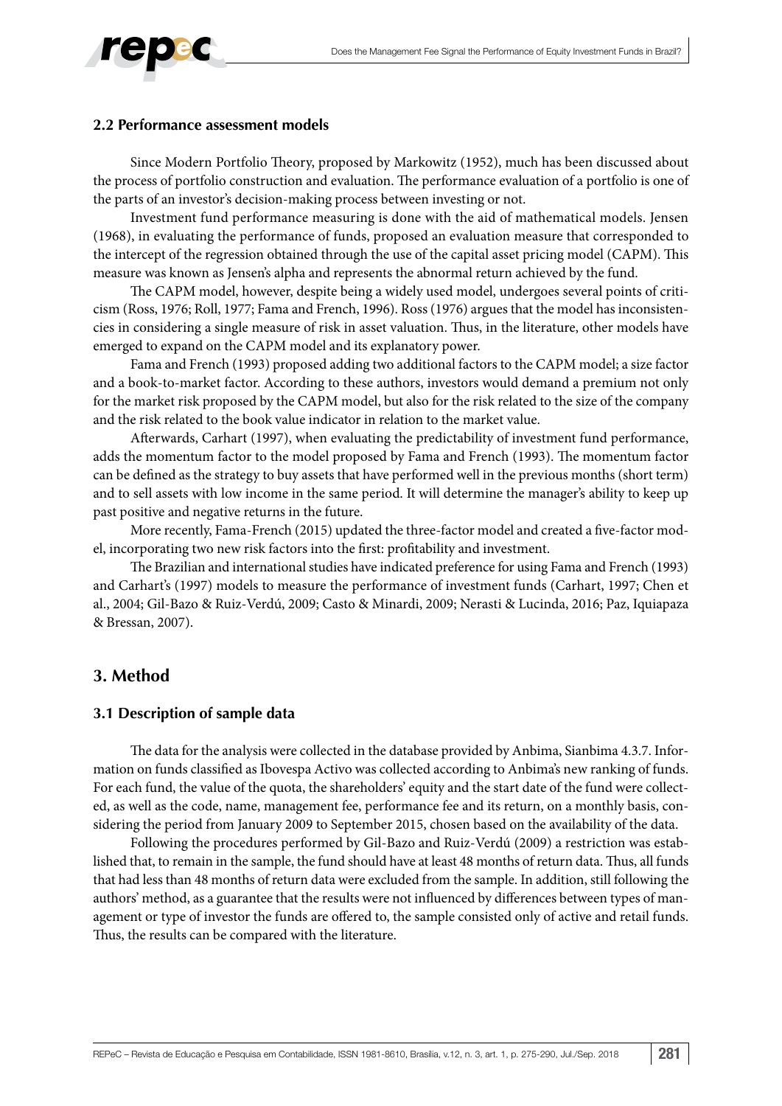

#### **2.2 Performance assessment models**

Since Modern Portfolio Theory, proposed by Markowitz (1952), much has been discussed about the process of portfolio construction and evaluation. The performance evaluation of a portfolio is one of the parts of an investor's decision-making process between investing or not.

Investment fund performance measuring is done with the aid of mathematical models. Jensen (1968), in evaluating the performance of funds, proposed an evaluation measure that corresponded to the intercept of the regression obtained through the use of the capital asset pricing model (CAPM). This measure was known as Jensen's alpha and represents the abnormal return achieved by the fund.

The CAPM model, however, despite being a widely used model, undergoes several points of criticism (Ross, 1976; Roll, 1977; Fama and French, 1996). Ross (1976) argues that the model has inconsistencies in considering a single measure of risk in asset valuation. Thus, in the literature, other models have emerged to expand on the CAPM model and its explanatory power.

Fama and French (1993) proposed adding two additional factors to the CAPM model; a size factor and a book-to-market factor. According to these authors, investors would demand a premium not only for the market risk proposed by the CAPM model, but also for the risk related to the size of the company and the risk related to the book value indicator in relation to the market value.

Afterwards, Carhart (1997), when evaluating the predictability of investment fund performance, adds the momentum factor to the model proposed by Fama and French (1993). The momentum factor can be defined as the strategy to buy assets that have performed well in the previous months (short term) and to sell assets with low income in the same period. It will determine the manager's ability to keep up past positive and negative returns in the future.

More recently, Fama-French (2015) updated the three-factor model and created a five-factor model, incorporating two new risk factors into the first: profitability and investment.

The Brazilian and international studies have indicated preference for using Fama and French (1993) and Carhart's (1997) models to measure the performance of investment funds (Carhart, 1997; Chen et al., 2004; Gil-Bazo & Ruiz-Verdú, 2009; Casto & Minardi, 2009; Nerasti & Lucinda, 2016; Paz, Iquiapaza & Bressan, 2007).

# **3. Method**

#### **3.1 Description of sample data**

The data for the analysis were collected in the database provided by Anbima, Sianbima 4.3.7. Information on funds classified as Ibovespa Activo was collected according to Anbima's new ranking of funds. For each fund, the value of the quota, the shareholders' equity and the start date of the fund were collected, as well as the code, name, management fee, performance fee and its return, on a monthly basis, considering the period from January 2009 to September 2015, chosen based on the availability of the data.

Following the procedures performed by Gil-Bazo and Ruiz-Verdú (2009) a restriction was established that, to remain in the sample, the fund should have at least 48 months of return data. Thus, all funds that had less than 48 months of return data were excluded from the sample. In addition, still following the authors' method, as a guarantee that the results were not influenced by differences between types of management or type of investor the funds are offered to, the sample consisted only of active and retail funds. Thus, the results can be compared with the literature.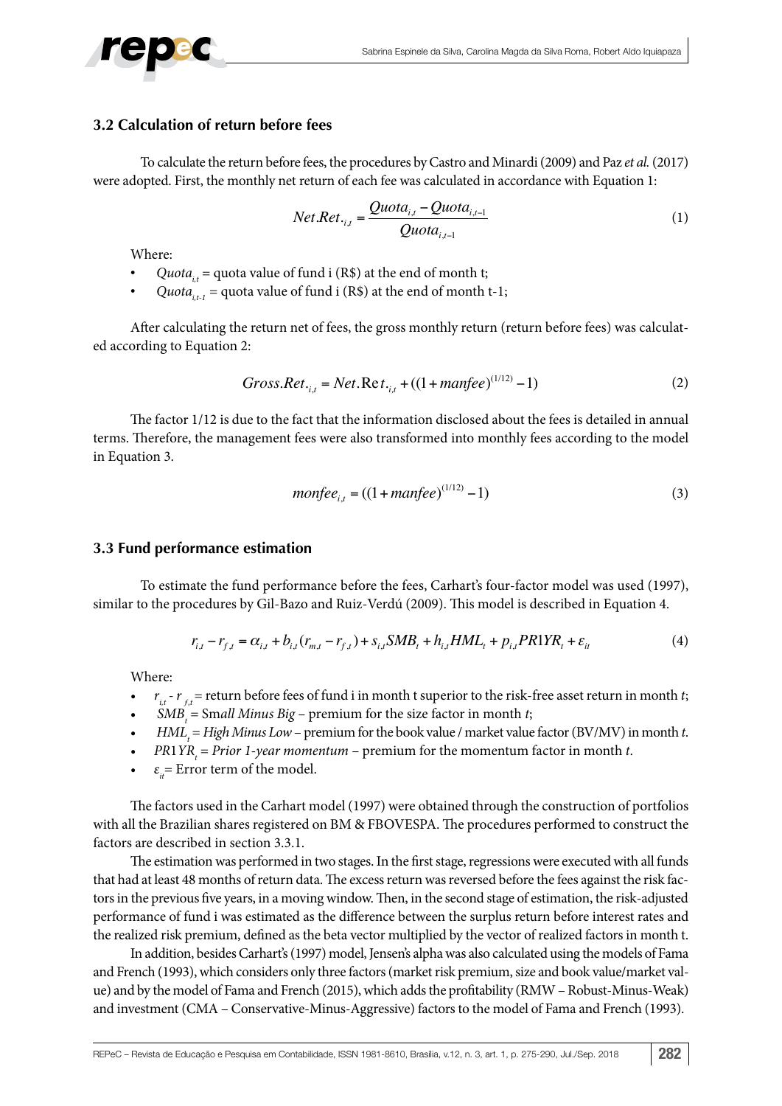

### **3.2 Calculation of return before fees**

To calculate the return before fees, the procedures by Castro and Minardi (2009) and Paz *et al.* (2017) were adopted. First, the monthly net return of each fee was calculated in accordance with Equation 1:

$$
NetRet_{i,j} = \frac{Quota_{i,j} - Quota_{i,j-1}}{Quota_{i,j-1}}
$$
\n
$$
(1)
$$

Where:

- *Quota<sub>it</sub>* = quota value of fund i (R\$) at the end of month t;
- *Quota*<sub>*it,1*</sub> = quota value of fund i (R\$) at the end of month t-1;

After calculating the return net of fees, the gross monthly return (return before fees) was calculated according to Equation 2:

$$
Gross. Ret._{i,t} = Net. Ret._{i,t} + ((1 + manfee)^{(1/12)} - 1)
$$
\n(2)

The factor 1/12 is due to the fact that the information disclosed about the fees is detailed in annual terms. Therefore, the management fees were also transformed into monthly fees according to the model in Equation 3.

$$
monfee_{i,t} = ((1 + manfee)^{(1/12)} - 1)
$$
\n(3)

#### **3.3 Fund performance estimation**

To estimate the fund performance before the fees, Carhart's four-factor model was used (1997), similar to the procedures by Gil-Bazo and Ruiz-Verdú (2009). This model is described in Equation 4.

$$
r_{i,t} - r_{f,t} = \alpha_{i,t} + b_{i,t}(r_{m,t} - r_{f,t}) + s_{i,t}SMB_t + h_{i,t}HML_t + p_{i,t}PR1YR_t + \varepsilon_{it}
$$
(4)

Where:

- $r_{i,t}$   $r_{i,t}$  = return before fees of fund i in month t superior to the risk-free asset return in month *t*;
- $SMB_1 = Small$  *Minus Big* premium for the size factor in month *t*;
- *HML*<sub>*r*</sub> = *High Minus Low* premium for the book value / market value factor (BV/MV) in month *t*.
- *PR1YR<sub>t</sub>* = *Prior 1-year momentum* premium for the momentum factor in month *t*.
- $\varepsilon_i$ = Error term of the model.

The factors used in the Carhart model (1997) were obtained through the construction of portfolios with all the Brazilian shares registered on BM & FBOVESPA. The procedures performed to construct the factors are described in section 3.3.1.

The estimation was performed in two stages. In the first stage, regressions were executed with all funds that had at least 48 months of return data. The excess return was reversed before the fees against the risk factors in the previous five years, in a moving window. Then, in the second stage of estimation, the risk-adjusted performance of fund i was estimated as the difference between the surplus return before interest rates and the realized risk premium, defined as the beta vector multiplied by the vector of realized factors in month t.

In addition, besides Carhart's (1997) model, Jensen's alpha was also calculated using the models of Fama and French (1993), which considers only three factors (market risk premium, size and book value/market value) and by the model of Fama and French (2015), which adds the profitability (RMW – Robust-Minus-Weak) and investment (CMA – Conservative-Minus-Aggressive) factors to the model of Fama and French (1993).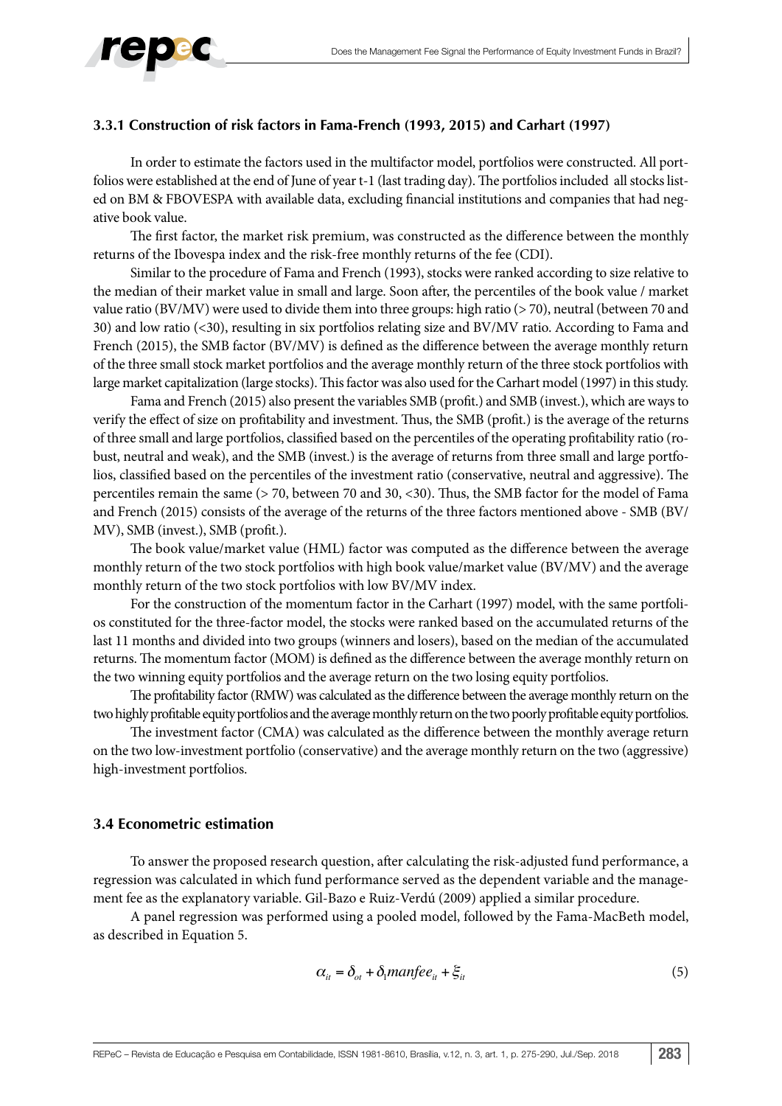

#### **3.3.1 Construction of risk factors in Fama-French (1993, 2015) and Carhart (1997)**

In order to estimate the factors used in the multifactor model, portfolios were constructed. All portfolios were established at the end of June of year t-1 (last trading day). The portfolios included all stocks listed on BM & FBOVESPA with available data, excluding financial institutions and companies that had negative book value.

The first factor, the market risk premium, was constructed as the difference between the monthly returns of the Ibovespa index and the risk-free monthly returns of the fee (CDI).

Similar to the procedure of Fama and French (1993), stocks were ranked according to size relative to the median of their market value in small and large. Soon after, the percentiles of the book value / market value ratio (BV/MV) were used to divide them into three groups: high ratio (> 70), neutral (between 70 and 30) and low ratio (<30), resulting in six portfolios relating size and BV/MV ratio. According to Fama and French (2015), the SMB factor (BV/MV) is defined as the difference between the average monthly return of the three small stock market portfolios and the average monthly return of the three stock portfolios with large market capitalization (large stocks). This factor was also used for the Carhart model (1997) in this study.

Fama and French (2015) also present the variables SMB (profit.) and SMB (invest.), which are ways to verify the effect of size on profitability and investment. Thus, the SMB (profit.) is the average of the returns of three small and large portfolios, classified based on the percentiles of the operating profitability ratio (robust, neutral and weak), and the SMB (invest.) is the average of returns from three small and large portfolios, classified based on the percentiles of the investment ratio (conservative, neutral and aggressive). The percentiles remain the same (> 70, between 70 and 30, <30). Thus, the SMB factor for the model of Fama and French (2015) consists of the average of the returns of the three factors mentioned above - SMB (BV/ MV), SMB (invest.), SMB (profit.).

The book value/market value (HML) factor was computed as the difference between the average monthly return of the two stock portfolios with high book value/market value (BV/MV) and the average monthly return of the two stock portfolios with low BV/MV index.

For the construction of the momentum factor in the Carhart (1997) model, with the same portfolios constituted for the three-factor model, the stocks were ranked based on the accumulated returns of the last 11 months and divided into two groups (winners and losers), based on the median of the accumulated returns. The momentum factor (MOM) is defined as the difference between the average monthly return on the two winning equity portfolios and the average return on the two losing equity portfolios.

The profitability factor (RMW) was calculated as the difference between the average monthly return on the two highly profitable equity portfolios and the average monthly return on the two poorly profitable equity portfolios.

The investment factor (CMA) was calculated as the difference between the monthly average return on the two low-investment portfolio (conservative) and the average monthly return on the two (aggressive) high-investment portfolios.

#### **3.4 Econometric estimation**

To answer the proposed research question, after calculating the risk-adjusted fund performance, a regression was calculated in which fund performance served as the dependent variable and the management fee as the explanatory variable. Gil-Bazo e Ruiz-Verdú (2009) applied a similar procedure.

A panel regression was performed using a pooled model, followed by the Fama-MacBeth model, as described in Equation 5.

$$
\alpha_{it} = \delta_{ot} + \delta_l \text{manfe} \, e_{it} + \xi_{it} \tag{5}
$$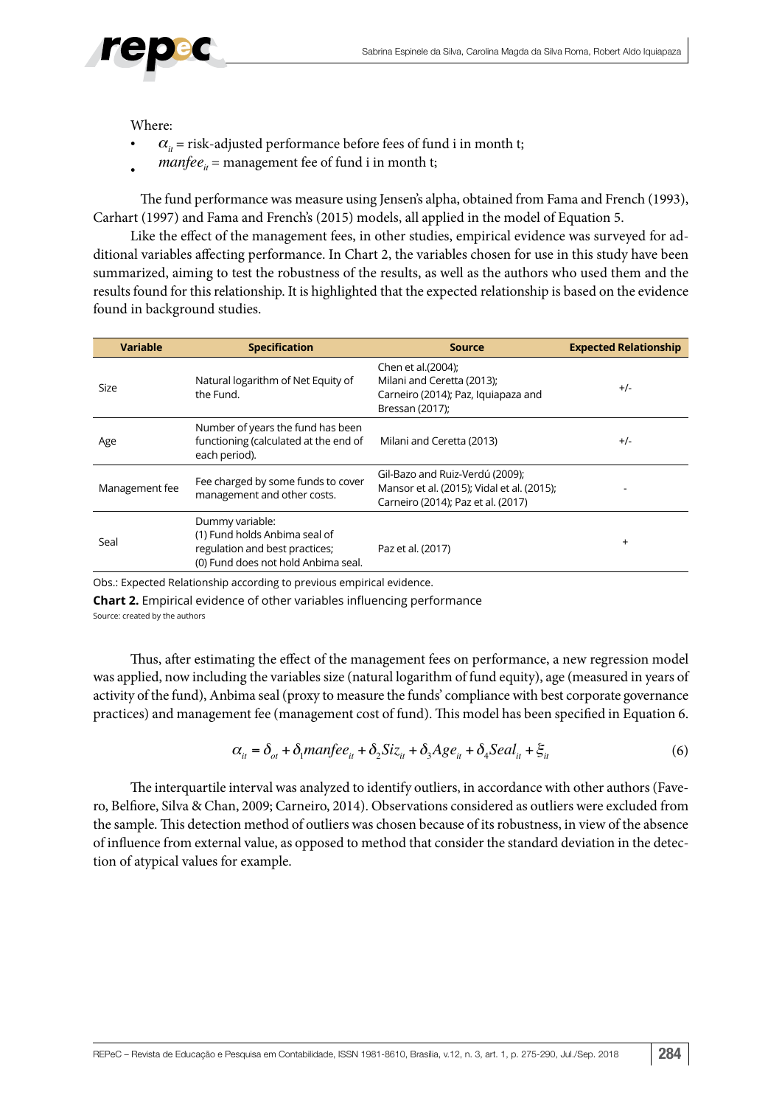

Where:

- $\alpha_{it}$  = risk-adjusted performance before fees of fund i in month t;
- *manfee<sub>it</sub>* = management fee of fund i in month t;

The fund performance was measure using Jensen's alpha, obtained from Fama and French (1993), Carhart (1997) and Fama and French's (2015) models, all applied in the model of Equation 5.

Like the effect of the management fees, in other studies, empirical evidence was surveyed for additional variables affecting performance. In Chart 2, the variables chosen for use in this study have been summarized, aiming to test the robustness of the results, as well as the authors who used them and the results found for this relationship. It is highlighted that the expected relationship is based on the evidence found in background studies.

| <b>Variable</b> | <b>Specification</b>                                                                                                      | <b>Source</b>                                                                                                       | <b>Expected Relationship</b> |
|-----------------|---------------------------------------------------------------------------------------------------------------------------|---------------------------------------------------------------------------------------------------------------------|------------------------------|
| Size            | Natural logarithm of Net Equity of<br>the Fund.                                                                           | Chen et al.(2004);<br>Milani and Ceretta (2013);<br>Carneiro (2014); Paz, Iquiapaza and<br>Bressan (2017);          | $+/-$                        |
| Age             | Number of years the fund has been<br>functioning (calculated at the end of<br>each period).                               | Milani and Ceretta (2013)                                                                                           | $+/-$                        |
| Management fee  | Fee charged by some funds to cover<br>management and other costs.                                                         | Gil-Bazo and Ruiz-Verdú (2009);<br>Mansor et al. (2015); Vidal et al. (2015);<br>Carneiro (2014); Paz et al. (2017) |                              |
| Seal            | Dummy variable:<br>(1) Fund holds Anbima seal of<br>regulation and best practices;<br>(0) Fund does not hold Anbima seal. | Paz et al. (2017)                                                                                                   | $\ddot{}$                    |

Obs.: Expected Relationship according to previous empirical evidence.

**Chart 2.** Empirical evidence of other variables influencing performance Source: created by the authors

Thus, after estimating the effect of the management fees on performance, a new regression model was applied, now including the variables size (natural logarithm of fund equity), age (measured in years of activity of the fund), Anbima seal (proxy to measure the funds' compliance with best corporate governance practices) and management fee (management cost of fund). This model has been specified in Equation 6.

$$
\alpha_{it} = \delta_{ot} + \delta_l \text{manfe} \, e_{it} + \delta_2 \text{Si} z_{it} + \delta_3 \text{Age}_{it} + \delta_4 \text{Seal}_{it} + \xi_{it} \tag{6}
$$

The interquartile interval was analyzed to identify outliers, in accordance with other authors (Favero, Belfiore, Silva & Chan, 2009; Carneiro, 2014). Observations considered as outliers were excluded from the sample. This detection method of outliers was chosen because of its robustness, in view of the absence of influence from external value, as opposed to method that consider the standard deviation in the detection of atypical values for example.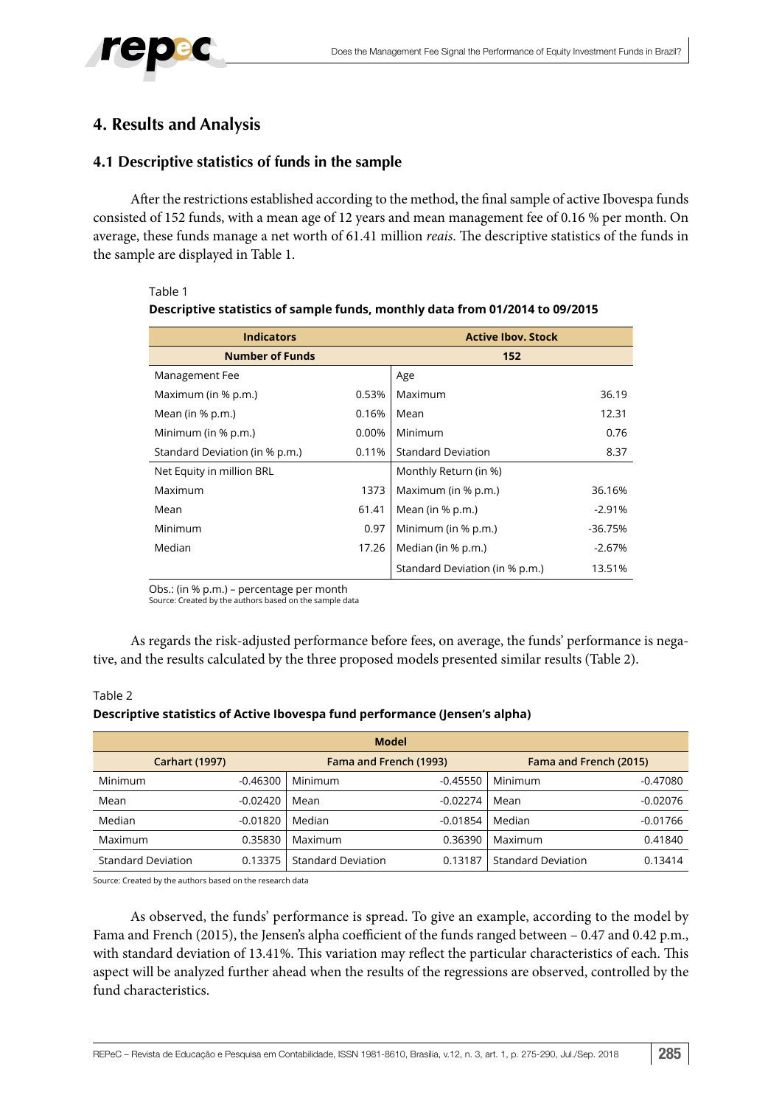

# **4. Results and Analysis**

# **4.1 Descriptive statistics of funds in the sample**

After the restrictions established according to the method, the final sample of active Ibovespa funds consisted of 152 funds, with a mean age of 12 years and mean management fee of 0.16 % per month. On average, these funds manage a net worth of 61.41 million *reais*. The descriptive statistics of the funds in the sample are displayed in Table 1.

#### Table 1

| <b>Indicators</b>              |       | <b>Active Iboy, Stock</b>      |           |
|--------------------------------|-------|--------------------------------|-----------|
| <b>Number of Funds</b>         |       | 152                            |           |
| Management Fee                 |       | Age                            |           |
| Maximum (in % p.m.)            | 0.53% | Maximum                        | 36.19     |
| Mean (in % p.m.)               | 0.16% | Mean                           | 12.31     |
| Minimum (in % p.m.)            | 0.00% | Minimum                        | 0.76      |
| Standard Deviation (in % p.m.) | 0.11% | <b>Standard Deviation</b>      | 8.37      |
| Net Equity in million BRL      |       | Monthly Return (in %)          |           |
| Maximum                        | 1373  | Maximum (in % p.m.)            | 36.16%    |
| Mean                           | 61.41 | Mean (in $%$ p.m.)             | $-2.91%$  |
| Minimum                        | 0.97  | Minimum (in % p.m.)            | $-36.75%$ |
| Median                         | 17.26 | Median (in % p.m.)             | $-2.67%$  |
|                                |       | Standard Deviation (in % p.m.) | 13.51%    |

### **Descriptive statistics of sample funds, monthly data from 01/2014 to 09/2015**

Obs.: (in % p.m.) – percentage per month

Source: Created by the authors based on the sample data

As regards the risk-adjusted performance before fees, on average, the funds' performance is negative, and the results calculated by the three proposed models presented similar results (Table 2).

#### Table 2

#### **Descriptive statistics of Active Ibovespa fund performance (Jensen's alpha)**

|                           |            | <b>Model</b>              |            |                           |            |
|---------------------------|------------|---------------------------|------------|---------------------------|------------|
| <b>Carhart (1997)</b>     |            | Fama and French (1993)    |            | Fama and French (2015)    |            |
| Minimum                   | $-0.46300$ | Minimum                   | $-0.45550$ | Minimum                   | $-0.47080$ |
| Mean                      | $-0.02420$ | Mean                      | $-0.02274$ | Mean                      | $-0.02076$ |
| Median                    | $-0.01820$ | Median                    | $-0.01854$ | Median                    | $-0.01766$ |
| Maximum                   | 0.35830    | Maximum                   | 0.36390    | Maximum                   | 0.41840    |
| <b>Standard Deviation</b> | 0.13375    | <b>Standard Deviation</b> | 0.13187    | <b>Standard Deviation</b> | 0.13414    |

Source: Created by the authors based on the research data

As observed, the funds' performance is spread. To give an example, according to the model by Fama and French (2015), the Jensen's alpha coefficient of the funds ranged between – 0.47 and 0.42 p.m., with standard deviation of 13.41%. This variation may reflect the particular characteristics of each. This aspect will be analyzed further ahead when the results of the regressions are observed, controlled by the fund characteristics.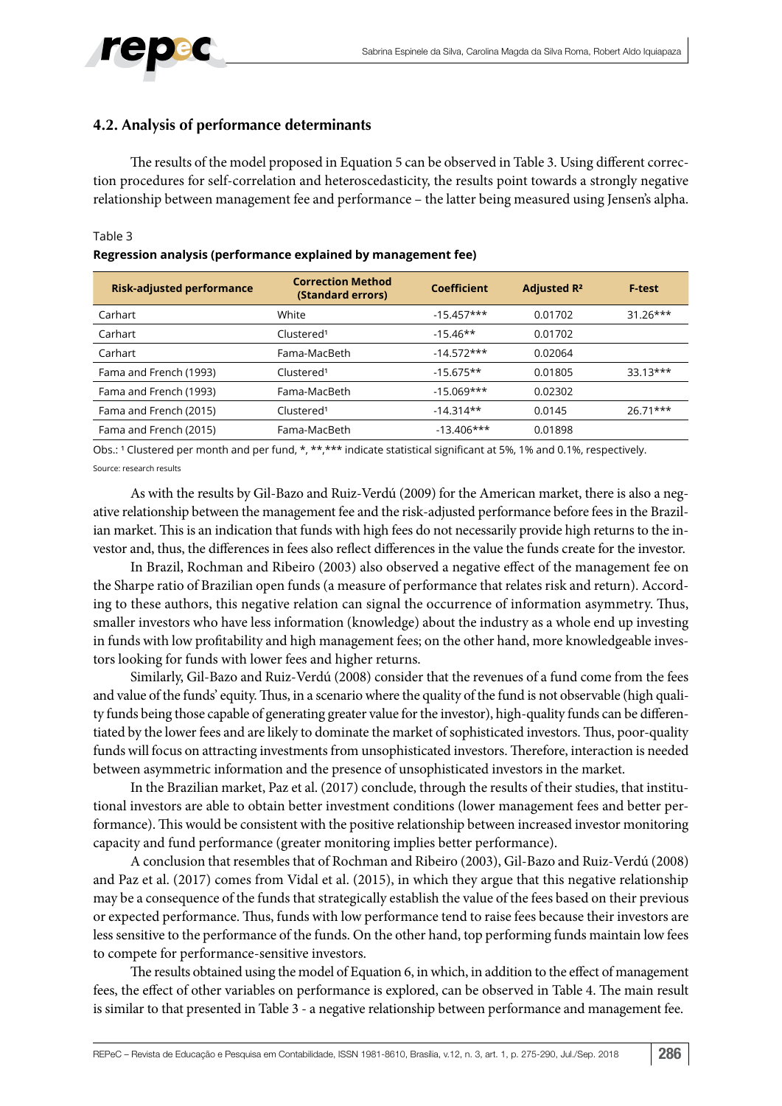

## **4.2. Analysis of performance determinants**

The results of the model proposed in Equation 5 can be observed in Table 3. Using different correction procedures for self-correlation and heteroscedasticity, the results point towards a strongly negative relationship between management fee and performance – the latter being measured using Jensen's alpha.

#### Table 3

|  |  | Regression analysis (performance explained by management fee) |  |
|--|--|---------------------------------------------------------------|--|
|  |  |                                                               |  |

| <b>Risk-adjusted performance</b> | <b>Correction Method</b><br>(Standard errors) | <b>Coefficient</b> | <b>Adjusted R<sup>2</sup></b> | <b>F-test</b> |
|----------------------------------|-----------------------------------------------|--------------------|-------------------------------|---------------|
| Carhart                          | White                                         | $-15.457***$       | 0.01702                       | $31.26***$    |
| Carhart                          | Clustered <sup>1</sup>                        | $-15.46**$         | 0.01702                       |               |
| Carhart                          | Fama-MacBeth                                  | $-14.572***$       | 0.02064                       |               |
| Fama and French (1993)           | Clustered <sup>1</sup>                        | $-15.675**$        | 0.01805                       | $33.13***$    |
| Fama and French (1993)           | Fama-MacBeth                                  | $-15.069***$       | 0.02302                       |               |
| Fama and French (2015)           | Clustered <sup>1</sup>                        | $-14.314**$        | 0.0145                        | $26.71***$    |
| Fama and French (2015)           | Fama-MacBeth                                  | $-13.406$ ***      | 0.01898                       |               |

Obs.: <sup>1</sup> Clustered per month and per fund, \*, \*\*, \*\*\* indicate statistical significant at 5%, 1% and 0.1%, respectively. Source: research results

As with the results by Gil-Bazo and Ruiz-Verdú (2009) for the American market, there is also a negative relationship between the management fee and the risk-adjusted performance before fees in the Brazilian market. This is an indication that funds with high fees do not necessarily provide high returns to the investor and, thus, the differences in fees also reflect differences in the value the funds create for the investor.

In Brazil, Rochman and Ribeiro (2003) also observed a negative effect of the management fee on the Sharpe ratio of Brazilian open funds (a measure of performance that relates risk and return). According to these authors, this negative relation can signal the occurrence of information asymmetry. Thus, smaller investors who have less information (knowledge) about the industry as a whole end up investing in funds with low profitability and high management fees; on the other hand, more knowledgeable investors looking for funds with lower fees and higher returns.

Similarly, Gil-Bazo and Ruiz-Verdú (2008) consider that the revenues of a fund come from the fees and value of the funds' equity. Thus, in a scenario where the quality of the fund is not observable (high quality funds being those capable of generating greater value for the investor), high-quality funds can be differentiated by the lower fees and are likely to dominate the market of sophisticated investors. Thus, poor-quality funds will focus on attracting investments from unsophisticated investors. Therefore, interaction is needed between asymmetric information and the presence of unsophisticated investors in the market.

In the Brazilian market, Paz et al. (2017) conclude, through the results of their studies, that institutional investors are able to obtain better investment conditions (lower management fees and better performance). This would be consistent with the positive relationship between increased investor monitoring capacity and fund performance (greater monitoring implies better performance).

A conclusion that resembles that of Rochman and Ribeiro (2003), Gil-Bazo and Ruiz-Verdú (2008) and Paz et al. (2017) comes from Vidal et al. (2015), in which they argue that this negative relationship may be a consequence of the funds that strategically establish the value of the fees based on their previous or expected performance. Thus, funds with low performance tend to raise fees because their investors are less sensitive to the performance of the funds. On the other hand, top performing funds maintain low fees to compete for performance-sensitive investors.

The results obtained using the model of Equation 6, in which, in addition to the effect of management fees, the effect of other variables on performance is explored, can be observed in Table 4. The main result is similar to that presented in Table 3 - a negative relationship between performance and management fee.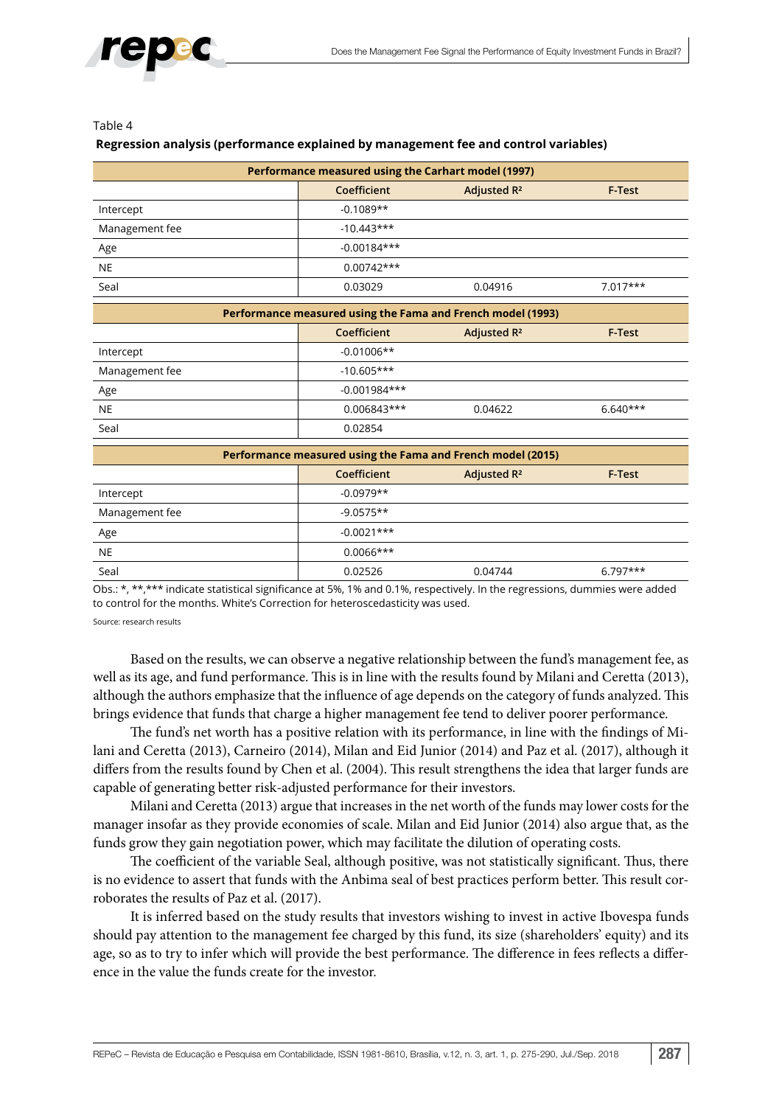

|                | Performance measured using the Carhart model (1997)         |                                   |            |  |
|----------------|-------------------------------------------------------------|-----------------------------------|------------|--|
|                | Coefficient                                                 | Adjusted R <sup>2</sup><br>F-Test |            |  |
| Intercept      | $-0.1089**$                                                 |                                   |            |  |
| Management fee | $-10.443***$                                                |                                   |            |  |
| Age            | $-0.00184***$                                               |                                   |            |  |
| <b>NE</b>      | $0.00742***$                                                |                                   |            |  |
| Seal           | 0.03029                                                     | 0.04916                           | $7.017***$ |  |
|                | Performance measured using the Fama and French model (1993) |                                   |            |  |
|                | Coefficient                                                 | Adjusted R <sup>2</sup>           | F-Test     |  |
| Intercept      | $-0.01006**$                                                |                                   |            |  |
| Management fee | $-10.605***$                                                |                                   |            |  |
| Age            | $-0.001984***$                                              |                                   |            |  |
| <b>NE</b>      | $0.006843***$                                               | 0.04622                           | $6.640***$ |  |
| Seal           | 0.02854                                                     |                                   |            |  |
|                | Performance measured using the Fama and French model (2015) |                                   |            |  |
|                | Coefficient                                                 | Adjusted R <sup>2</sup>           | F-Test     |  |
| Intercept      | $-0.0979**$                                                 |                                   |            |  |
| Management fee | $-9.0575**$                                                 |                                   |            |  |

#### Table 4

#### **Regression analysis (performance explained by management fee and control variables)**

Obs.: \*, \*\*,\*\*\* indicate statistical significance at 5%, 1% and 0.1%, respectively. In the regressions, dummies were added to control for the months. White's Correction for heteroscedasticity was used.

Seal -0.02526 0.04744 6.797\*\*\*

Source: research results

Age  $-0.0021***$ NE 0.0066\*\*\*

Based on the results, we can observe a negative relationship between the fund's management fee, as well as its age, and fund performance. This is in line with the results found by Milani and Ceretta (2013), although the authors emphasize that the influence of age depends on the category of funds analyzed. This brings evidence that funds that charge a higher management fee tend to deliver poorer performance.

The fund's net worth has a positive relation with its performance, in line with the findings of Milani and Ceretta (2013), Carneiro (2014), Milan and Eid Junior (2014) and Paz et al. (2017), although it differs from the results found by Chen et al. (2004). This result strengthens the idea that larger funds are capable of generating better risk-adjusted performance for their investors.

Milani and Ceretta (2013) argue that increases in the net worth of the funds may lower costs for the manager insofar as they provide economies of scale. Milan and Eid Junior (2014) also argue that, as the funds grow they gain negotiation power, which may facilitate the dilution of operating costs.

The coefficient of the variable Seal, although positive, was not statistically significant. Thus, there is no evidence to assert that funds with the Anbima seal of best practices perform better. This result corroborates the results of Paz et al. (2017).

It is inferred based on the study results that investors wishing to invest in active Ibovespa funds should pay attention to the management fee charged by this fund, its size (shareholders' equity) and its age, so as to try to infer which will provide the best performance. The difference in fees reflects a difference in the value the funds create for the investor.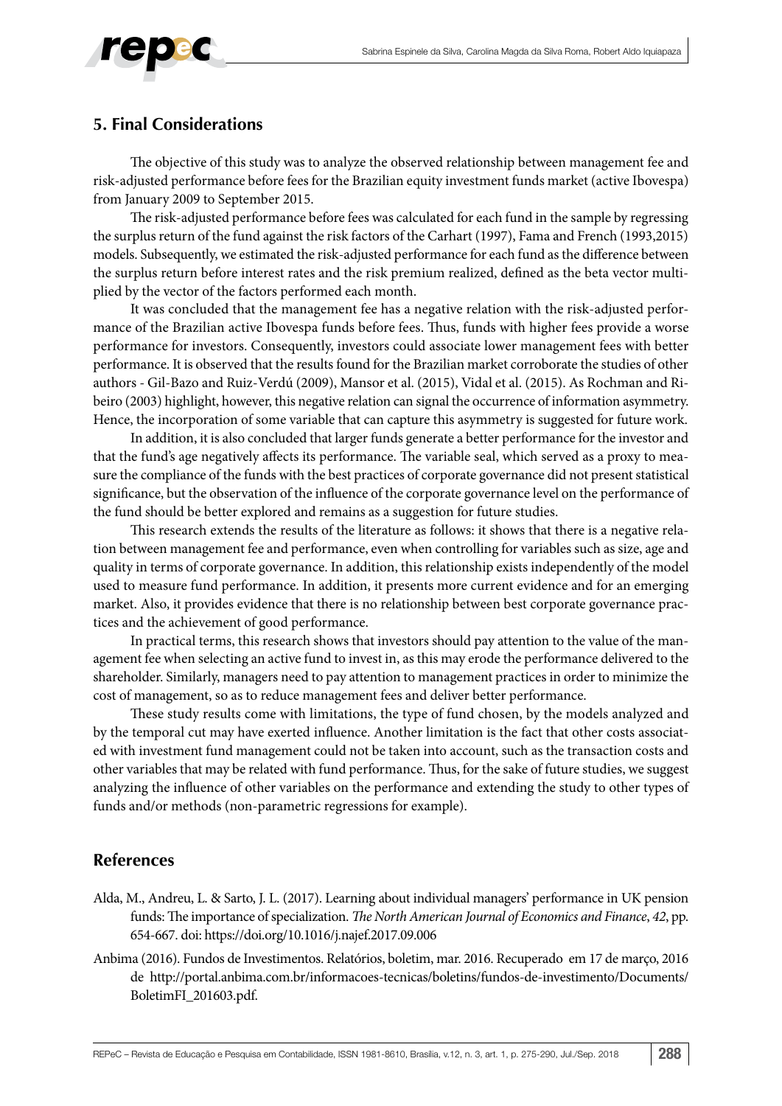# **5. Final Considerations**

The objective of this study was to analyze the observed relationship between management fee and risk-adjusted performance before fees for the Brazilian equity investment funds market (active Ibovespa) from January 2009 to September 2015.

The risk-adjusted performance before fees was calculated for each fund in the sample by regressing the surplus return of the fund against the risk factors of the Carhart (1997), Fama and French (1993,2015) models. Subsequently, we estimated the risk-adjusted performance for each fund as the difference between the surplus return before interest rates and the risk premium realized, defined as the beta vector multiplied by the vector of the factors performed each month.

It was concluded that the management fee has a negative relation with the risk-adjusted performance of the Brazilian active Ibovespa funds before fees. Thus, funds with higher fees provide a worse performance for investors. Consequently, investors could associate lower management fees with better performance. It is observed that the results found for the Brazilian market corroborate the studies of other authors - Gil-Bazo and Ruiz-Verdú (2009), Mansor et al. (2015), Vidal et al. (2015). As Rochman and Ribeiro (2003) highlight, however, this negative relation can signal the occurrence of information asymmetry. Hence, the incorporation of some variable that can capture this asymmetry is suggested for future work.

In addition, it is also concluded that larger funds generate a better performance for the investor and that the fund's age negatively affects its performance. The variable seal, which served as a proxy to measure the compliance of the funds with the best practices of corporate governance did not present statistical significance, but the observation of the influence of the corporate governance level on the performance of the fund should be better explored and remains as a suggestion for future studies.

This research extends the results of the literature as follows: it shows that there is a negative relation between management fee and performance, even when controlling for variables such as size, age and quality in terms of corporate governance. In addition, this relationship exists independently of the model used to measure fund performance. In addition, it presents more current evidence and for an emerging market. Also, it provides evidence that there is no relationship between best corporate governance practices and the achievement of good performance.

In practical terms, this research shows that investors should pay attention to the value of the management fee when selecting an active fund to invest in, as this may erode the performance delivered to the shareholder. Similarly, managers need to pay attention to management practices in order to minimize the cost of management, so as to reduce management fees and deliver better performance.

These study results come with limitations, the type of fund chosen, by the models analyzed and by the temporal cut may have exerted influence. Another limitation is the fact that other costs associated with investment fund management could not be taken into account, such as the transaction costs and other variables that may be related with fund performance. Thus, for the sake of future studies, we suggest analyzing the influence of other variables on the performance and extending the study to other types of funds and/or methods (non-parametric regressions for example).

# **References**

- Alda, M., Andreu, L. & Sarto, J. L. (2017). Learning about individual managers' performance in UK pension funds: The importance of specialization. *The North American Journal of Economics and Finance*, *42*, pp. 654-667. doi: https://doi.org/10.1016/j.najef.2017.09.006
- Anbima (2016). Fundos de Investimentos. Relatórios, boletim, mar. 2016. Recuperado em 17 de março, 2016 de http://portal.anbima.com.br/informacoes-tecnicas/boletins/fundos-de-investimento/Documents/ BoletimFI\_201603.pdf.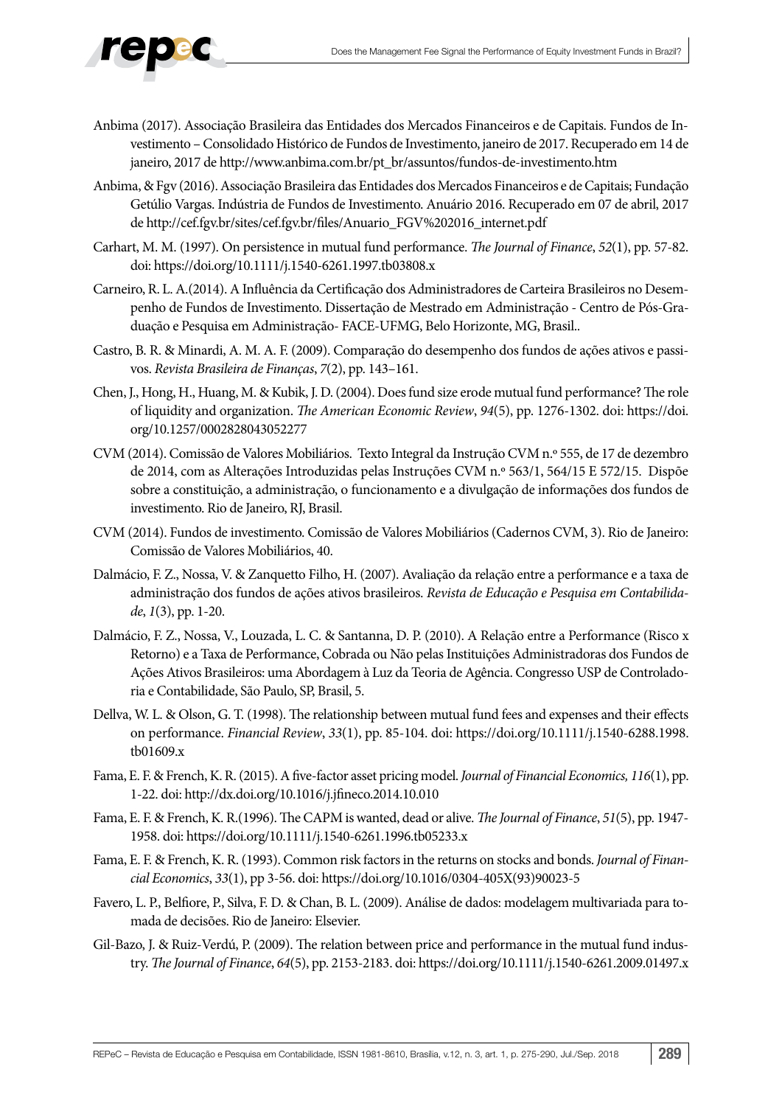

- Anbima (2017). Associação Brasileira das Entidades dos Mercados Financeiros e de Capitais. Fundos de Investimento – Consolidado Histórico de Fundos de Investimento, janeiro de 2017. Recuperado em 14 de janeiro, 2017 de http://www.anbima.com.br/pt\_br/assuntos/fundos-de-investimento.htm
- Anbima, & Fgv (2016). Associação Brasileira das Entidades dos Mercados Financeiros e de Capitais; Fundação Getúlio Vargas. Indústria de Fundos de Investimento. Anuário 2016. Recuperado em 07 de abril, 2017 de http://cef.fgv.br/sites/cef.fgv.br/files/Anuario\_FGV%202016\_internet.pdf
- Carhart, M. M. (1997). On persistence in mutual fund performance. *The Journal of Finance*, *52*(1), pp. 57-82. doi: https://doi.org/10.1111/j.1540-6261.1997.tb03808.x
- Carneiro, R. L. A.(2014). A Influência da Certificação dos Administradores de Carteira Brasileiros no Desempenho de Fundos de Investimento. Dissertação de Mestrado em Administração - Centro de Pós-Graduação e Pesquisa em Administração- FACE-UFMG, Belo Horizonte, MG, Brasil..
- Castro, B. R. & Minardi, A. M. A. F. (2009). Comparação do desempenho dos fundos de ações ativos e passivos. *Revista Brasileira de Finanças*, *7*(2), pp. 143–161.
- Chen, J., Hong, H., Huang, M. & Kubik, J. D. (2004). Does fund size erode mutual fund performance? The role of liquidity and organization. *The American Economic Review*, *94*(5), pp. 1276-1302. doi: https://doi. org/10.1257/0002828043052277
- CVM (2014). Comissão de Valores Mobiliários. Texto Integral da Instrução CVM n.º 555, de 17 de dezembro de 2014, com as Alterações Introduzidas pelas Instruções CVM n.º 563/1, 564/15 E 572/15. Dispõe sobre a constituição, a administração, o funcionamento e a divulgação de informações dos fundos de investimento. Rio de Janeiro, RJ, Brasil.
- CVM (2014). Fundos de investimento. Comissão de Valores Mobiliários (Cadernos CVM, 3). Rio de Janeiro: Comissão de Valores Mobiliários, 40.
- Dalmácio, F. Z., Nossa, V. & Zanquetto Filho, H. (2007). Avaliação da relação entre a performance e a taxa de administração dos fundos de ações ativos brasileiros. *Revista de Educação e Pesquisa em Contabilidade*, *1*(3), pp. 1-20.
- Dalmácio, F. Z., Nossa, V., Louzada, L. C. & Santanna, D. P. (2010). A Relação entre a Performance (Risco x Retorno) e a Taxa de Performance, Cobrada ou Não pelas Instituições Administradoras dos Fundos de Ações Ativos Brasileiros: uma Abordagem à Luz da Teoria de Agência. Congresso USP de Controladoria e Contabilidade, São Paulo, SP, Brasil, 5.
- Dellva, W. L. & Olson, G. T. (1998). The relationship between mutual fund fees and expenses and their effects on performance. *Financial Review*, *33*(1), pp. 85-104. doi: https://doi.org/10.1111/j.1540-6288.1998. tb01609.x
- Fama, E. F. & French, K. R. (2015). A five-factor asset pricing model. *Journal of Financial Economics, 116*(1), pp. 1-22. doi: http://dx.doi.org/10.1016/j.jfineco.2014.10.010
- Fama, E. F. & French, K. R.(1996). The CAPM is wanted, dead or alive. *The Journal of Finance*, *51*(5), pp. 1947- 1958. doi: https://doi.org/10.1111/j.1540-6261.1996.tb05233.x
- Fama, E. F. & French, K. R. (1993). Common risk factors in the returns on stocks and bonds. *Journal of Financial Economics*, *33*(1), pp 3-56. doi: https://doi.org/10.1016/0304-405X(93)90023-5
- Favero, L. P., Belfiore, P., Silva, F. D. & Chan, B. L. (2009). Análise de dados: modelagem multivariada para tomada de decisões. Rio de Janeiro: Elsevier.
- Gil-Bazo, J. & Ruiz-Verdú, P. (2009). The relation between price and performance in the mutual fund industry. *The Journal of Finance*, *64*(5), pp. 2153-2183. doi: https://doi.org/10.1111/j.1540-6261.2009.01497.x